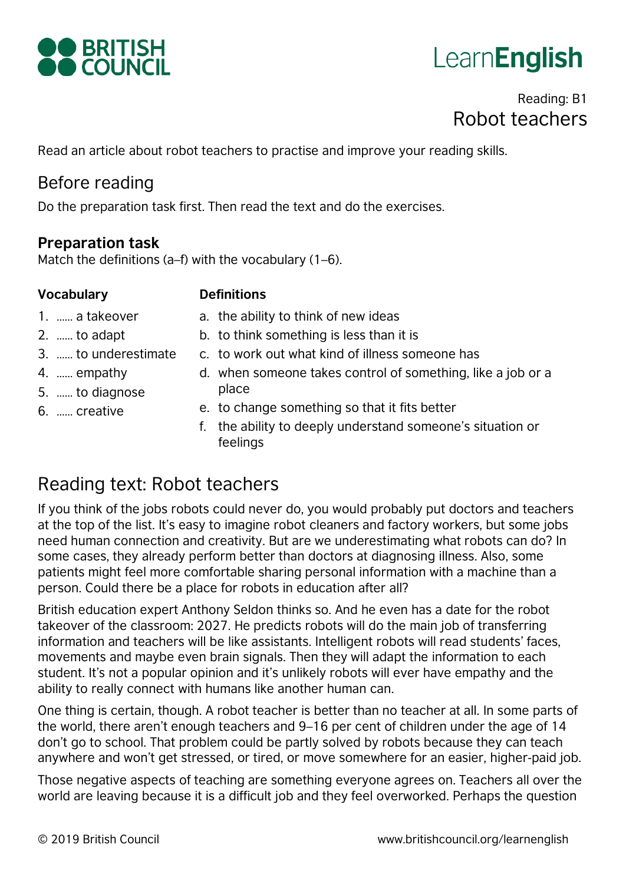

# Learn**English**

# Reading: B1 Robot teachers

Read an article about robot teachers to practise and improve your reading skills.

# Before reading

Do the preparation task first. Then read the text and do the exercises.

#### **Preparation task**

Match the definitions (a–f) with the vocabulary (1–6).

#### **Vocabulary Definitions**

- 1. …… a takeover
- 2. …… to adapt
- 3. …… to underestimate
- 4. …… empathy
- 5. …… to diagnose
- 6. …… creative
- a. the ability to think of new ideas
- b. to think something is less than it is
- c. to work out what kind of illness someone has
- d. when someone takes control of something, like a job or a place
- e. to change something so that it fits better
- f. the ability to deeply understand someone's situation or feelings

# Reading text: Robot teachers

If you think of the jobs robots could never do, you would probably put doctors and teachers at the top of the list. It's easy to imagine robot cleaners and factory workers, but some jobs need human connection and creativity. But are we underestimating what robots can do? In some cases, they already perform better than doctors at diagnosing illness. Also, some patients might feel more comfortable sharing personal information with a machine than a person. Could there be a place for robots in education after all?

British education expert Anthony Seldon thinks so. And he even has a date for the robot takeover of the classroom: 2027. He predicts robots will do the main job of transferring information and teachers will be like assistants. Intelligent robots will read students' faces, movements and maybe even brain signals. Then they will adapt the information to each student. It's not a popular opinion and it's unlikely robots will ever have empathy and the ability to really connect with humans like another human can.

One thing is certain, though. A robot teacher is better than no teacher at all. In some parts of the world, there aren't enough teachers and 9–16 per cent of children under the age of 14 don't go to school. That problem could be partly solved by robots because they can teach anywhere and won't get stressed, or tired, or move somewhere for an easier, higher-paid job.

Those negative aspects of teaching are something everyone agrees on. Teachers all over the world are leaving because it is a difficult job and they feel overworked. Perhaps the question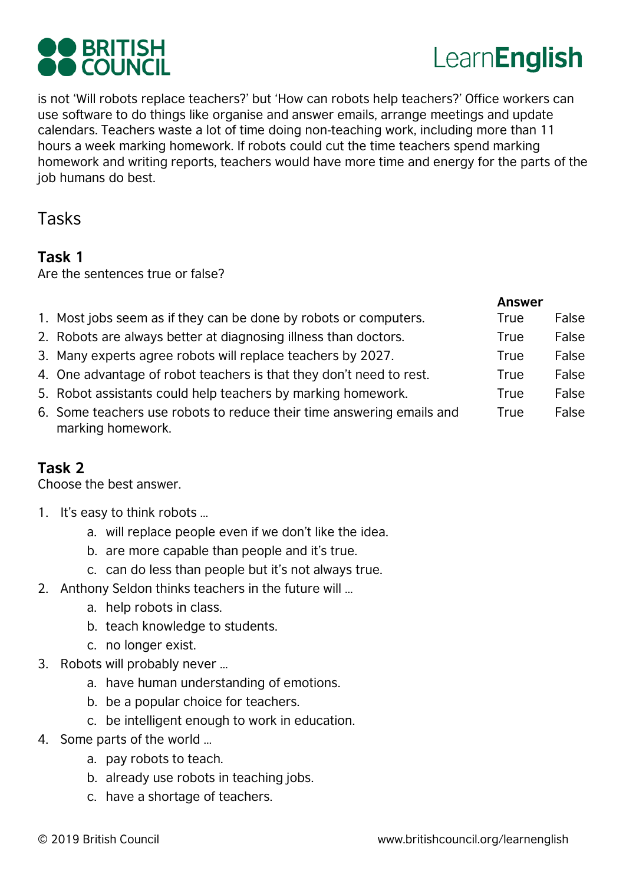



is not 'Will robots replace teachers?' but 'How can robots help teachers?' Office workers can use software to do things like organise and answer emails, arrange meetings and update calendars. Teachers waste a lot of time doing non-teaching work, including more than 11 hours a week marking homework. If robots could cut the time teachers spend marking homework and writing reports, teachers would have more time and energy for the parts of the job humans do best.

Tasks

#### **Task 1**

Are the sentences true or false?

|                                                                                            | <b>Answer</b> |       |
|--------------------------------------------------------------------------------------------|---------------|-------|
| 1. Most jobs seem as if they can be done by robots or computers.                           | True          | False |
| 2. Robots are always better at diagnosing illness than doctors.                            | True          | False |
| 3. Many experts agree robots will replace teachers by 2027.                                | True          | False |
| 4. One advantage of robot teachers is that they don't need to rest.                        | True          | False |
| 5. Robot assistants could help teachers by marking homework.                               | True          | False |
| 6. Some teachers use robots to reduce their time answering emails and<br>marking homework. | True          | False |

### **Task 2**

Choose the best answer.

- 1. It's easy to think robots …
	- a. will replace people even if we don't like the idea.
	- b. are more capable than people and it's true.
	- c. can do less than people but it's not always true.
- 2. Anthony Seldon thinks teachers in the future will …
	- a. help robots in class.
	- b. teach knowledge to students.
	- c. no longer exist.
- 3. Robots will probably never …
	- a. have human understanding of emotions.
	- b. be a popular choice for teachers.
	- c. be intelligent enough to work in education.
- 4. Some parts of the world …
	- a. pay robots to teach.
	- b. already use robots in teaching jobs.
	- c. have a shortage of teachers.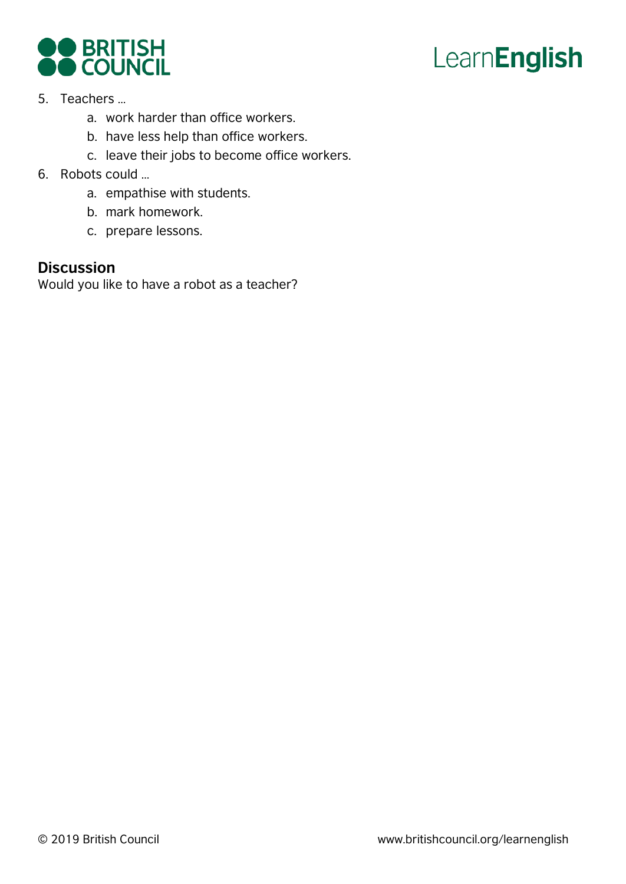



- 5. Teachers …
	- a. work harder than office workers.
	- b. have less help than office workers.
	- c. leave their jobs to become office workers.
- 6. Robots could …
	- a. empathise with students.
	- b. mark homework.
	- c. prepare lessons.

#### **Discussion**

Would you like to have a robot as a teacher?